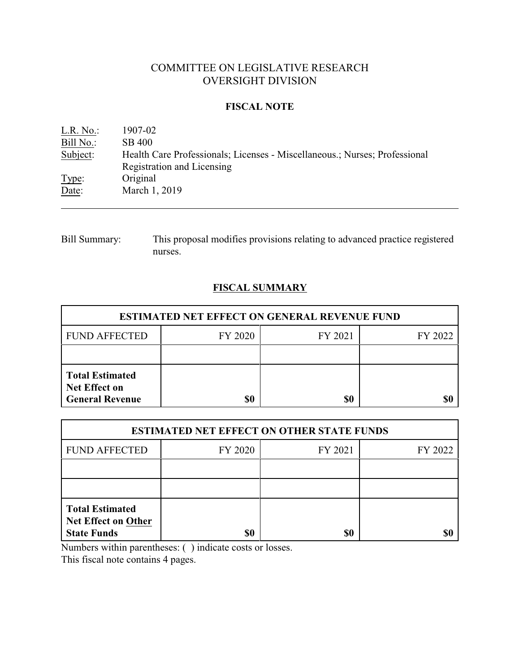# COMMITTEE ON LEGISLATIVE RESEARCH OVERSIGHT DIVISION

## **FISCAL NOTE**

| L.R. No.: | 1907-02                                                                    |
|-----------|----------------------------------------------------------------------------|
| Bill No.: | SB 400                                                                     |
| Subject:  | Health Care Professionals; Licenses - Miscellaneous.; Nurses; Professional |
|           | Registration and Licensing                                                 |
| Type:     | Original                                                                   |
| Date:     | March 1, 2019                                                              |

Bill Summary: This proposal modifies provisions relating to advanced practice registered nurses.

# **FISCAL SUMMARY**

| <b>ESTIMATED NET EFFECT ON GENERAL REVENUE FUND</b>                      |         |         |         |  |
|--------------------------------------------------------------------------|---------|---------|---------|--|
| <b>FUND AFFECTED</b>                                                     | FY 2020 | FY 2021 | FY 2022 |  |
|                                                                          |         |         |         |  |
| <b>Total Estimated</b><br><b>Net Effect on</b><br><b>General Revenue</b> | \$0     | \$0     |         |  |

| <b>ESTIMATED NET EFFECT ON OTHER STATE FUNDS</b>                           |         |         |         |  |  |
|----------------------------------------------------------------------------|---------|---------|---------|--|--|
| <b>FUND AFFECTED</b>                                                       | FY 2020 | FY 2021 | FY 2022 |  |  |
|                                                                            |         |         |         |  |  |
|                                                                            |         |         |         |  |  |
| <b>Total Estimated</b><br><b>Net Effect on Other</b><br><b>State Funds</b> | \$0     | \$0     |         |  |  |

Numbers within parentheses: ( ) indicate costs or losses.

This fiscal note contains 4 pages.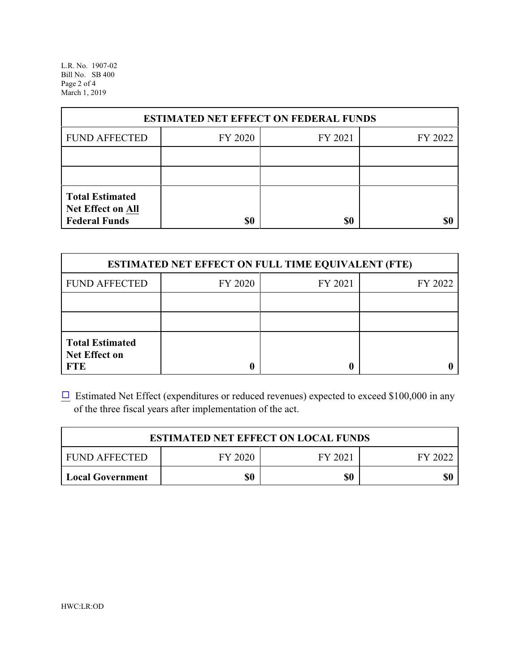L.R. No. 1907-02 Bill No. SB 400 Page 2 of 4 March 1, 2019

| <b>ESTIMATED NET EFFECT ON FEDERAL FUNDS</b>                        |         |         |         |  |
|---------------------------------------------------------------------|---------|---------|---------|--|
| <b>FUND AFFECTED</b>                                                | FY 2020 | FY 2021 | FY 2022 |  |
|                                                                     |         |         |         |  |
|                                                                     |         |         |         |  |
| <b>Total Estimated</b><br>Net Effect on All<br><b>Federal Funds</b> | \$0     | \$0     |         |  |

| <b>ESTIMATED NET EFFECT ON FULL TIME EQUIVALENT (FTE)</b>    |         |         |         |  |
|--------------------------------------------------------------|---------|---------|---------|--|
| <b>FUND AFFECTED</b>                                         | FY 2020 | FY 2021 | FY 2022 |  |
|                                                              |         |         |         |  |
|                                                              |         |         |         |  |
| <b>Total Estimated</b><br><b>Net Effect on</b><br><b>FTE</b> |         |         |         |  |

 $\Box$  Estimated Net Effect (expenditures or reduced revenues) expected to exceed \$100,000 in any of the three fiscal years after implementation of the act.

| <b>ESTIMATED NET EFFECT ON LOCAL FUNDS</b> |         |         |         |  |
|--------------------------------------------|---------|---------|---------|--|
| <b>FUND AFFECTED</b>                       | FY 2020 | FY 2021 | FY 2022 |  |
| <b>Local Government</b>                    | \$0     | \$0     | \$0     |  |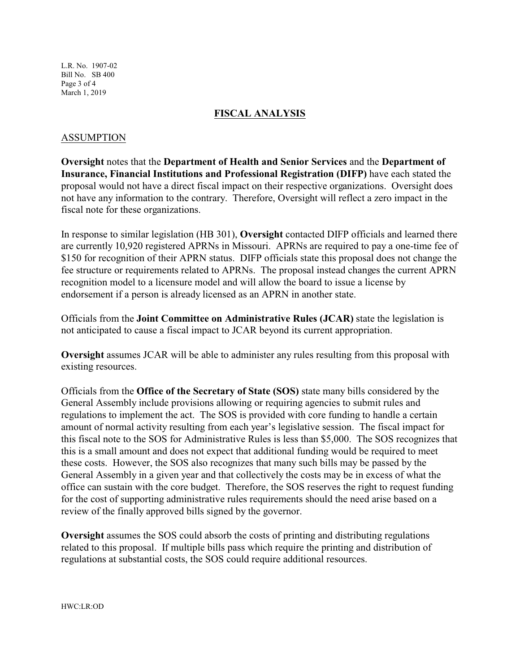L.R. No. 1907-02 Bill No. SB 400 Page 3 of 4 March 1, 2019

#### **FISCAL ANALYSIS**

#### ASSUMPTION

**Oversight** notes that the **Department of Health and Senior Services** and the **Department of Insurance, Financial Institutions and Professional Registration (DIFP)** have each stated the proposal would not have a direct fiscal impact on their respective organizations. Oversight does not have any information to the contrary. Therefore, Oversight will reflect a zero impact in the fiscal note for these organizations.

In response to similar legislation (HB 301), **Oversight** contacted DIFP officials and learned there are currently 10,920 registered APRNs in Missouri. APRNs are required to pay a one-time fee of \$150 for recognition of their APRN status. DIFP officials state this proposal does not change the fee structure or requirements related to APRNs. The proposal instead changes the current APRN recognition model to a licensure model and will allow the board to issue a license by endorsement if a person is already licensed as an APRN in another state.

Officials from the **Joint Committee on Administrative Rules (JCAR)** state the legislation is not anticipated to cause a fiscal impact to JCAR beyond its current appropriation.

**Oversight** assumes JCAR will be able to administer any rules resulting from this proposal with existing resources.

Officials from the **Office of the Secretary of State (SOS)** state many bills considered by the General Assembly include provisions allowing or requiring agencies to submit rules and regulations to implement the act. The SOS is provided with core funding to handle a certain amount of normal activity resulting from each year's legislative session. The fiscal impact for this fiscal note to the SOS for Administrative Rules is less than \$5,000. The SOS recognizes that this is a small amount and does not expect that additional funding would be required to meet these costs. However, the SOS also recognizes that many such bills may be passed by the General Assembly in a given year and that collectively the costs may be in excess of what the office can sustain with the core budget. Therefore, the SOS reserves the right to request funding for the cost of supporting administrative rules requirements should the need arise based on a review of the finally approved bills signed by the governor.

**Oversight** assumes the SOS could absorb the costs of printing and distributing regulations related to this proposal. If multiple bills pass which require the printing and distribution of regulations at substantial costs, the SOS could require additional resources.